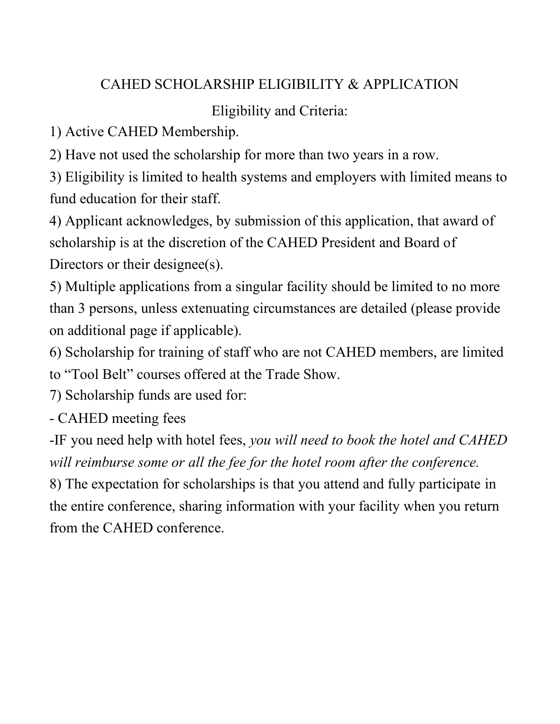## CAHED SCHOLARSHIP ELIGIBILITY & APPLICATION

## Eligibility and Criteria:

1) Active CAHED Membership.

2) Have not used the scholarship for more than two years in a row.

3) Eligibility is limited to health systems and employers with limited means to fund education for their staff.

4) Applicant acknowledges, by submission of this application, that award of scholarship is at the discretion of the CAHED President and Board of Directors or their designee(s).

5) Multiple applications from a singular facility should be limited to no more than 3 persons, unless extenuating circumstances are detailed (please provide on additional page if applicable).

6) Scholarship for training of staff who are not CAHED members, are limited to "Tool Belt" courses offered at the Trade Show.

7) Scholarship funds are used for:

- CAHED meeting fees

-IF you need help with hotel fees, *you will need to book the hotel and CAHED will reimburse some or all the fee for the hotel room after the conference.* 

8) The expectation for scholarships is that you attend and fully participate in the entire conference, sharing information with your facility when you return from the CAHED conference.